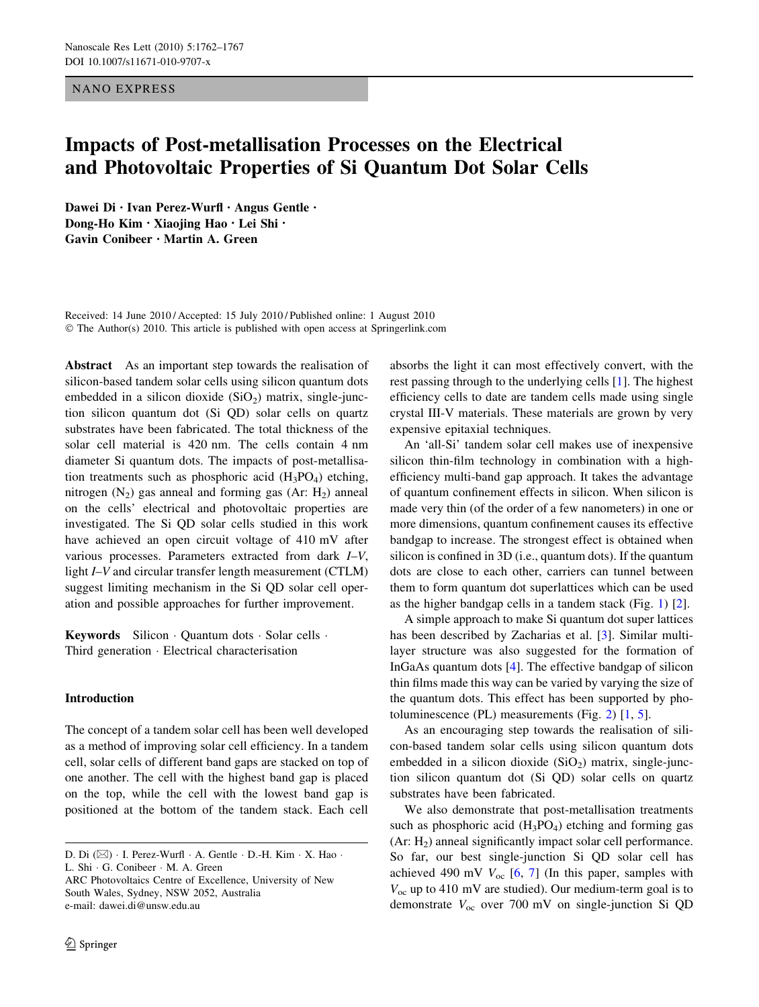NANO EXPRESS

# Impacts of Post-metallisation Processes on the Electrical and Photovoltaic Properties of Si Quantum Dot Solar Cells

Dawei Di • Ivan Perez-Wurfl • Angus Gentle • Dong-Ho Kim • Xiaojing Hao • Lei Shi • Gavin Conibeer • Martin A. Green

Received: 14 June 2010 / Accepted: 15 July 2010 / Published online: 1 August 2010 © The Author(s) 2010. This article is published with open access at Springerlink.com

Abstract As an important step towards the realisation of silicon-based tandem solar cells using silicon quantum dots embedded in a silicon dioxide  $(SiO<sub>2</sub>)$  matrix, single-junction silicon quantum dot (Si QD) solar cells on quartz substrates have been fabricated. The total thickness of the solar cell material is 420 nm. The cells contain 4 nm diameter Si quantum dots. The impacts of post-metallisation treatments such as phosphoric acid  $(H_3PO_4)$  etching, nitrogen  $(N_2)$  gas anneal and forming gas  $(Ar: H_2)$  anneal on the cells' electrical and photovoltaic properties are investigated. The Si QD solar cells studied in this work have achieved an open circuit voltage of 410 mV after various processes. Parameters extracted from dark I–V, light *I–V* and circular transfer length measurement (CTLM) suggest limiting mechanism in the Si QD solar cell operation and possible approaches for further improvement.

Keywords Silicon - Quantum dots - Solar cells - Third generation - Electrical characterisation

## Introduction

The concept of a tandem solar cell has been well developed as a method of improving solar cell efficiency. In a tandem cell, solar cells of different band gaps are stacked on top of one another. The cell with the highest band gap is placed on the top, while the cell with the lowest band gap is positioned at the bottom of the tandem stack. Each cell

ARC Photovoltaics Centre of Excellence, University of New South Wales, Sydney, NSW 2052, Australia e-mail: dawei.di@unsw.edu.au

absorbs the light it can most effectively convert, with the rest passing through to the underlying cells [\[1](#page-4-0)]. The highest efficiency cells to date are tandem cells made using single crystal III-V materials. These materials are grown by very expensive epitaxial techniques.

An 'all-Si' tandem solar cell makes use of inexpensive silicon thin-film technology in combination with a highefficiency multi-band gap approach. It takes the advantage of quantum confinement effects in silicon. When silicon is made very thin (of the order of a few nanometers) in one or more dimensions, quantum confinement causes its effective bandgap to increase. The strongest effect is obtained when silicon is confined in 3D (i.e., quantum dots). If the quantum dots are close to each other, carriers can tunnel between them to form quantum dot superlattices which can be used as the higher bandgap cells in a tandem stack (Fig. [1](#page-1-0)) [[2\]](#page-4-0).

A simple approach to make Si quantum dot super lattices has been described by Zacharias et al. [[3\]](#page-4-0). Similar multilayer structure was also suggested for the formation of InGaAs quantum dots [\[4](#page-4-0)]. The effective bandgap of silicon thin films made this way can be varied by varying the size of the quantum dots. This effect has been supported by photoluminescence (PL) measurements (Fig. [2](#page-1-0)) [\[1](#page-4-0), [5\]](#page-4-0).

As an encouraging step towards the realisation of silicon-based tandem solar cells using silicon quantum dots embedded in a silicon dioxide  $(SiO<sub>2</sub>)$  matrix, single-junction silicon quantum dot (Si QD) solar cells on quartz substrates have been fabricated.

We also demonstrate that post-metallisation treatments such as phosphoric acid  $(H_3PO_4)$  etching and forming gas  $(Ar: H<sub>2</sub>)$  anneal significantly impact solar cell performance. So far, our best single-junction Si QD solar cell has achieved 490 mV  $V_{\text{oc}}$  [[6,](#page-4-0) [7](#page-4-0)] (In this paper, samples with  $V_{\text{oc}}$  up to 410 mV are studied). Our medium-term goal is to demonstrate  $V_{\text{oc}}$  over 700 mV on single-junction Si QD

D. Di (⊠) · I. Perez-Wurfl · A. Gentle · D.-H. Kim · X. Hao · L. Shi - G. Conibeer - M. A. Green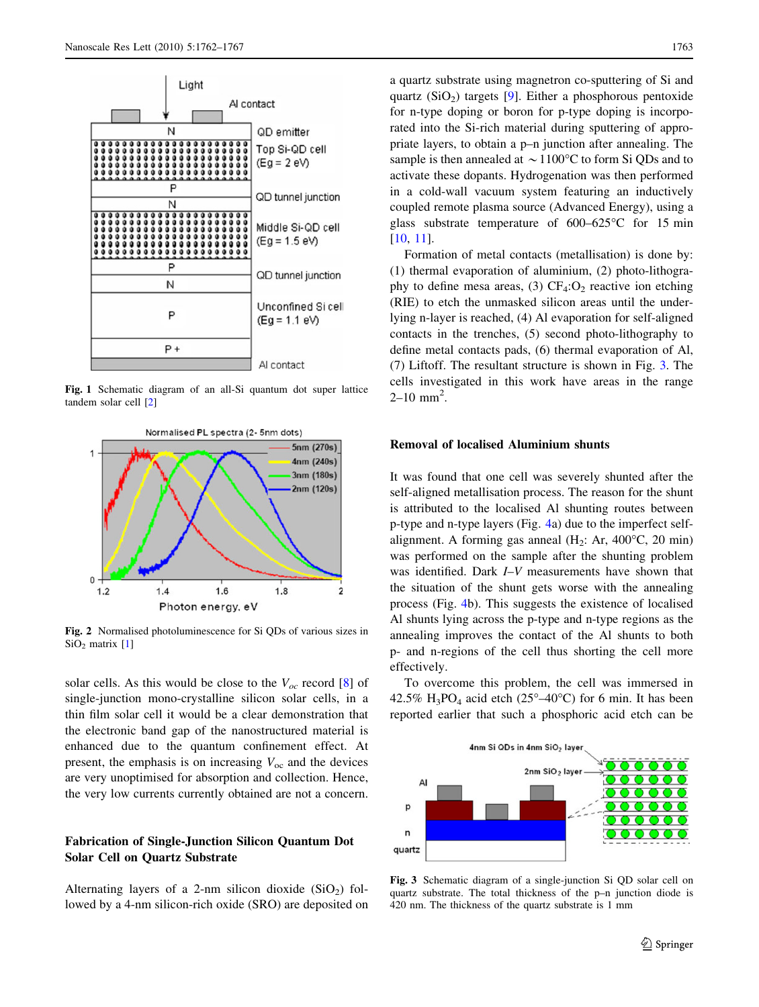<span id="page-1-0"></span>

Fig. 1 Schematic diagram of an all-Si quantum dot super lattice tandem solar cell [\[2](#page-4-0)]



Fig. 2 Normalised photoluminescence for Si QDs of various sizes in  $SiO<sub>2</sub>$  matrix [\[1](#page-4-0)]

solar cells. As this would be close to the  $V_{oc}$  record [\[8](#page-4-0)] of single-junction mono-crystalline silicon solar cells, in a thin film solar cell it would be a clear demonstration that the electronic band gap of the nanostructured material is enhanced due to the quantum confinement effect. At present, the emphasis is on increasing  $V_{\text{oc}}$  and the devices are very unoptimised for absorption and collection. Hence, the very low currents currently obtained are not a concern.

# Fabrication of Single-Junction Silicon Quantum Dot Solar Cell on Quartz Substrate

Alternating layers of a 2-nm silicon dioxide  $(SiO<sub>2</sub>)$  followed by a 4-nm silicon-rich oxide (SRO) are deposited on a quartz substrate using magnetron co-sputtering of Si and quartz  $(SiO<sub>2</sub>)$  targets [[9\]](#page-4-0). Either a phosphorous pentoxide for n-type doping or boron for p-type doping is incorporated into the Si-rich material during sputtering of appropriate layers, to obtain a p–n junction after annealing. The sample is then annealed at  $\sim$  1100°C to form Si QDs and to activate these dopants. Hydrogenation was then performed in a cold-wall vacuum system featuring an inductively coupled remote plasma source (Advanced Energy), using a glass substrate temperature of  $600-625^{\circ}$ C for 15 min [\[10](#page-4-0), [11](#page-5-0)].

Formation of metal contacts (metallisation) is done by: (1) thermal evaporation of aluminium, (2) photo-lithography to define mesa areas, (3)  $CF_4:O_2$  reactive ion etching (RIE) to etch the unmasked silicon areas until the underlying n-layer is reached, (4) Al evaporation for self-aligned contacts in the trenches, (5) second photo-lithography to define metal contacts pads, (6) thermal evaporation of Al, (7) Liftoff. The resultant structure is shown in Fig. 3. The cells investigated in this work have areas in the range  $2 - 10$  mm<sup>2</sup>.

## Removal of localised Aluminium shunts

It was found that one cell was severely shunted after the self-aligned metallisation process. The reason for the shunt is attributed to the localised Al shunting routes between p-type and n-type layers (Fig. [4](#page-2-0)a) due to the imperfect selfalignment. A forming gas anneal  $(H_2: Ar, 400^{\circ}C, 20 \text{ min})$ was performed on the sample after the shunting problem was identified. Dark I–V measurements have shown that the situation of the shunt gets worse with the annealing process (Fig. [4](#page-2-0)b). This suggests the existence of localised Al shunts lying across the p-type and n-type regions as the annealing improves the contact of the Al shunts to both p- and n-regions of the cell thus shorting the cell more effectively.

To overcome this problem, the cell was immersed in 42.5% H<sub>3</sub>PO<sub>4</sub> acid etch (25°–40°C) for 6 min. It has been reported earlier that such a phosphoric acid etch can be



Fig. 3 Schematic diagram of a single-junction Si QD solar cell on quartz substrate. The total thickness of the p–n junction diode is 420 nm. The thickness of the quartz substrate is 1 mm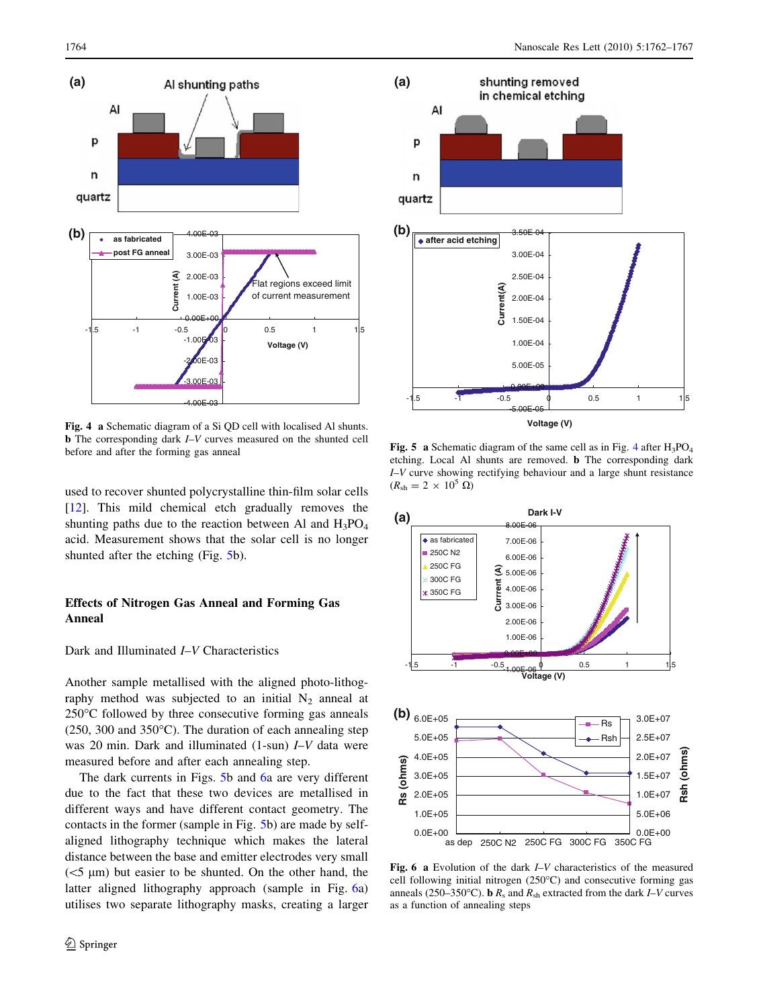<span id="page-2-0"></span>

Fig. 4 a Schematic diagram of a Si QD cell with localised Al shunts. b The corresponding dark I–V curves measured on the shunted cell before and after the forming gas anneal

used to recover shunted polycrystalline thin-film solar cells [\[12](#page-5-0)]. This mild chemical etch gradually removes the shunting paths due to the reaction between Al and  $H_3PO_4$ acid. Measurement shows that the solar cell is no longer shunted after the etching (Fig. 5b).

# Effects of Nitrogen Gas Anneal and Forming Gas Anneal

#### Dark and Illuminated I–V Characteristics

Another sample metallised with the aligned photo-lithography method was subjected to an initial  $N_2$  anneal at  $250^{\circ}$ C followed by three consecutive forming gas anneals (250, 300 and 350 $^{\circ}$ C). The duration of each annealing step was 20 min. Dark and illuminated (1-sun) I–V data were measured before and after each annealing step.

The dark currents in Figs. 5b and 6a are very different due to the fact that these two devices are metallised in different ways and have different contact geometry. The contacts in the former (sample in Fig. 5b) are made by selfaligned lithography technique which makes the lateral distance between the base and emitter electrodes very small  $(<5 \mu m)$  but easier to be shunted. On the other hand, the latter aligned lithography approach (sample in Fig. 6a) utilises two separate lithography masks, creating a larger



Fig. 5 a Schematic diagram of the same cell as in Fig. 4 after  $H_3PO_4$ etching. Local Al shunts are removed. b The corresponding dark I–V curve showing rectifying behaviour and a large shunt resistance  $(R_{\rm sh} = 2 \times 10^5 \Omega)$ 



Fig. 6 a Evolution of the dark I–V characteristics of the measured cell following initial nitrogen  $(250^{\circ}C)$  and consecutive forming gas anneals (250–350°C). **b**  $R_s$  and  $R_{sh}$  extracted from the dark *I–V* curves as a function of annealing steps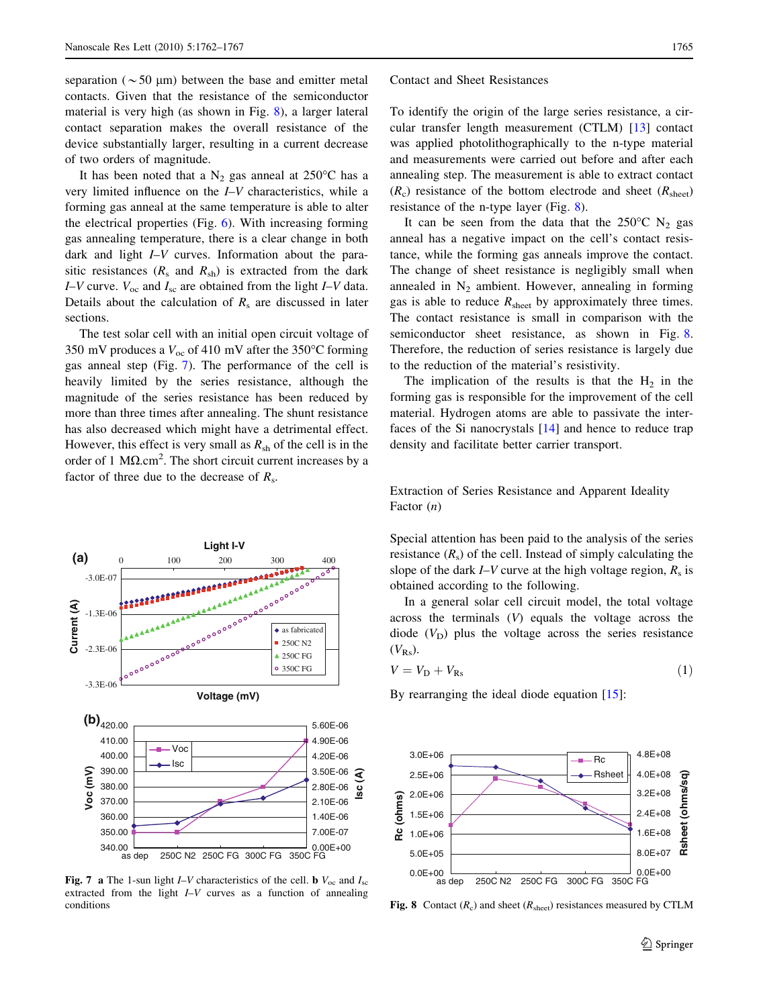<span id="page-3-0"></span>separation ( $\sim$  50 µm) between the base and emitter metal contacts. Given that the resistance of the semiconductor material is very high (as shown in Fig. 8), a larger lateral contact separation makes the overall resistance of the device substantially larger, resulting in a current decrease of two orders of magnitude.

It has been noted that a  $N_2$  gas anneal at 250°C has a very limited influence on the I–V characteristics, while a forming gas anneal at the same temperature is able to alter the electrical properties (Fig. [6\)](#page-2-0). With increasing forming gas annealing temperature, there is a clear change in both dark and light I–V curves. Information about the parasitic resistances  $(R_s$  and  $R_{sh}$ ) is extracted from the dark I–V curve.  $V_{\text{oc}}$  and  $I_{\text{sc}}$  are obtained from the light I–V data. Details about the calculation of  $R_s$  are discussed in later sections.

The test solar cell with an initial open circuit voltage of 350 mV produces a  $V_{\text{oc}}$  of 410 mV after the 350°C forming gas anneal step (Fig. 7). The performance of the cell is heavily limited by the series resistance, although the magnitude of the series resistance has been reduced by more than three times after annealing. The shunt resistance has also decreased which might have a detrimental effect. However, this effect is very small as  $R_{sh}$  of the cell is in the order of 1  $\text{M}\Omega.\text{cm}^2$ . The short circuit current increases by a factor of three due to the decrease of  $R_s$ .



Fig. 7 a The 1-sun light I–V characteristics of the cell. b  $V_{\text{oc}}$  and  $I_{\text{sc}}$ extracted from the light I–V curves as a function of annealing conditions

#### Contact and Sheet Resistances

To identify the origin of the large series resistance, a circular transfer length measurement (CTLM) [\[13](#page-5-0)] contact was applied photolithographically to the n-type material and measurements were carried out before and after each annealing step. The measurement is able to extract contact  $(R_c)$  resistance of the bottom electrode and sheet  $(R<sub>sheet</sub>)$ resistance of the n-type layer (Fig. 8).

It can be seen from the data that the  $250^{\circ}$ C N<sub>2</sub> gas anneal has a negative impact on the cell's contact resistance, while the forming gas anneals improve the contact. The change of sheet resistance is negligibly small when annealed in  $N_2$  ambient. However, annealing in forming gas is able to reduce  $R<sub>sheet</sub>$  by approximately three times. The contact resistance is small in comparison with the semiconductor sheet resistance, as shown in Fig. 8. Therefore, the reduction of series resistance is largely due to the reduction of the material's resistivity.

The implication of the results is that the  $H_2$  in the forming gas is responsible for the improvement of the cell material. Hydrogen atoms are able to passivate the interfaces of the Si nanocrystals [[14\]](#page-5-0) and hence to reduce trap density and facilitate better carrier transport.

Extraction of Series Resistance and Apparent Ideality Factor (n)

Special attention has been paid to the analysis of the series resistance  $(R<sub>s</sub>)$  of the cell. Instead of simply calculating the slope of the dark  $I-V$  curve at the high voltage region,  $R_s$  is obtained according to the following.

In a general solar cell circuit model, the total voltage across the terminals (V) equals the voltage across the diode  $(V<sub>D</sub>)$  plus the voltage across the series resistance  $(V_{\rm Rs})$ .

$$
V = V_{\rm D} + V_{\rm Rs} \tag{1}
$$

By rearranging the ideal diode equation [[15\]](#page-5-0):



**Fig. 8** Contact  $(R_c)$  and sheet  $(R_{sheet})$  resistances measured by CTLM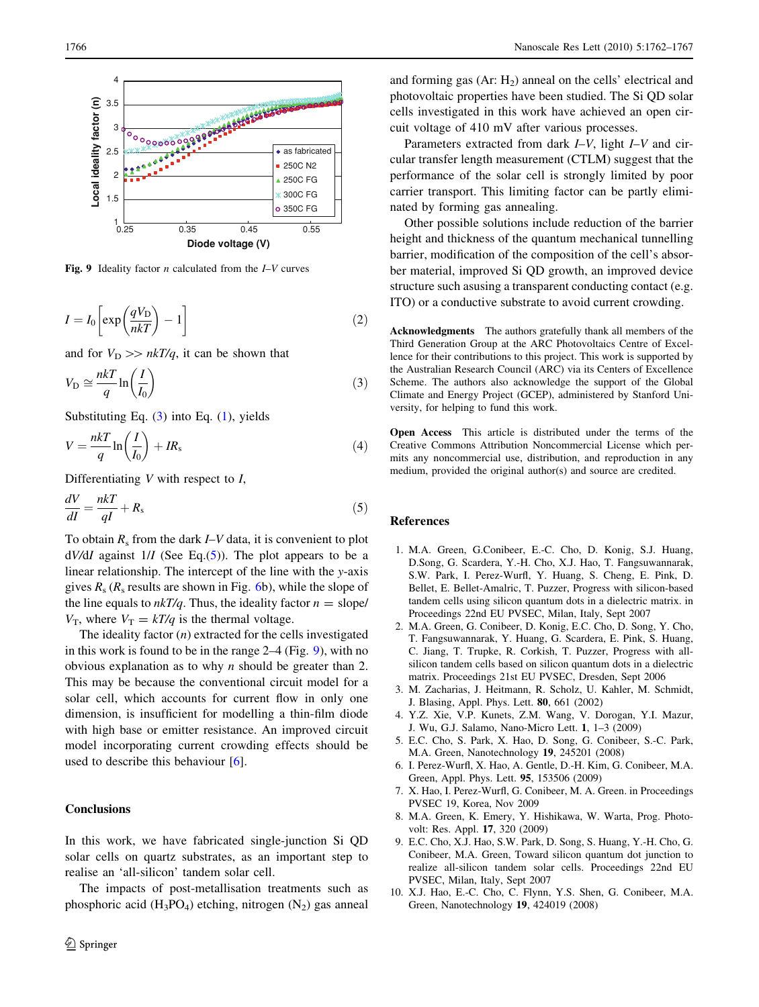<span id="page-4-0"></span>

Fig. 9 Ideality factor *n* calculated from the  $I-V$  curves

$$
I = I_0 \left[ \exp\left(\frac{qV_D}{nkT}\right) - 1 \right] \tag{2}
$$

and for  $V_D \gg nkT/q$ , it can be shown that

$$
V_{\rm D} \cong \frac{nkT}{q} \ln \left( \frac{I}{I_0} \right) \tag{3}
$$

Substituting Eq.  $(3)$  into Eq.  $(1)$  $(1)$ , yields

$$
V = \frac{nkT}{q} \ln\left(\frac{I}{I_0}\right) + IR_s \tag{4}
$$

Differentiating  $V$  with respect to  $I$ ,

$$
\frac{dV}{dl} = \frac{nkT}{ql} + R_s \tag{5}
$$

To obtain  $R_s$  from the dark  $I-V$  data, it is convenient to plot  $dV/dI$  against  $1/I$  (See Eq.(5)). The plot appears to be a linear relationship. The intercept of the line with the y-axis gives  $R_s$  ( $R_s$  results are shown in Fig. [6](#page-2-0)b), while the slope of the line equals to  $nkT/q$ . Thus, the ideality factor  $n =$  slope/  $V_T$ , where  $V_T = kT/q$  is the thermal voltage.

The ideality factor  $(n)$  extracted for the cells investigated in this work is found to be in the range 2–4 (Fig. 9), with no obvious explanation as to why  $n$  should be greater than 2. This may be because the conventional circuit model for a solar cell, which accounts for current flow in only one dimension, is insufficient for modelling a thin-film diode with high base or emitter resistance. An improved circuit model incorporating current crowding effects should be used to describe this behaviour [6].

## **Conclusions**

In this work, we have fabricated single-junction Si QD solar cells on quartz substrates, as an important step to realise an 'all-silicon' tandem solar cell.

The impacts of post-metallisation treatments such as phosphoric acid  $(H_3PO_4)$  etching, nitrogen  $(N_2)$  gas anneal

and forming gas  $(Ar: H<sub>2</sub>)$  anneal on the cells' electrical and photovoltaic properties have been studied. The Si QD solar cells investigated in this work have achieved an open circuit voltage of 410 mV after various processes.

Parameters extracted from dark I–V, light I–V and circular transfer length measurement (CTLM) suggest that the performance of the solar cell is strongly limited by poor carrier transport. This limiting factor can be partly eliminated by forming gas annealing.

Other possible solutions include reduction of the barrier height and thickness of the quantum mechanical tunnelling barrier, modification of the composition of the cell's absorber material, improved Si QD growth, an improved device structure such asusing a transparent conducting contact (e.g. ITO) or a conductive substrate to avoid current crowding.

Acknowledgments The authors gratefully thank all members of the Third Generation Group at the ARC Photovoltaics Centre of Excellence for their contributions to this project. This work is supported by the Australian Research Council (ARC) via its Centers of Excellence Scheme. The authors also acknowledge the support of the Global Climate and Energy Project (GCEP), administered by Stanford University, for helping to fund this work.

Open Access This article is distributed under the terms of the Creative Commons Attribution Noncommercial License which permits any noncommercial use, distribution, and reproduction in any medium, provided the original author(s) and source are credited.

#### References

- 1. M.A. Green, G.Conibeer, E.-C. Cho, D. Konig, S.J. Huang, D.Song, G. Scardera, Y.-H. Cho, X.J. Hao, T. Fangsuwannarak, S.W. Park, I. Perez-Wurfl, Y. Huang, S. Cheng, E. Pink, D. Bellet, E. Bellet-Amalric, T. Puzzer, Progress with silicon-based tandem cells using silicon quantum dots in a dielectric matrix. in Proceedings 22nd EU PVSEC, Milan, Italy, Sept 2007
- 2. M.A. Green, G. Conibeer, D. Konig, E.C. Cho, D. Song, Y. Cho, T. Fangsuwannarak, Y. Huang, G. Scardera, E. Pink, S. Huang, C. Jiang, T. Trupke, R. Corkish, T. Puzzer, Progress with allsilicon tandem cells based on silicon quantum dots in a dielectric matrix. Proceedings 21st EU PVSEC, Dresden, Sept 2006
- 3. M. Zacharias, J. Heitmann, R. Scholz, U. Kahler, M. Schmidt, J. Blasing, Appl. Phys. Lett. 80, 661 (2002)
- 4. Y.Z. Xie, V.P. Kunets, Z.M. Wang, V. Dorogan, Y.I. Mazur, J. Wu, G.J. Salamo, Nano-Micro Lett. 1, 1–3 (2009)
- 5. E.C. Cho, S. Park, X. Hao, D. Song, G. Conibeer, S.-C. Park, M.A. Green, Nanotechnology 19, 245201 (2008)
- 6. I. Perez-Wurfl, X. Hao, A. Gentle, D.-H. Kim, G. Conibeer, M.A. Green, Appl. Phys. Lett. 95, 153506 (2009)
- 7. X. Hao, I. Perez-Wurfl, G. Conibeer, M. A. Green. in Proceedings PVSEC 19, Korea, Nov 2009
- 8. M.A. Green, K. Emery, Y. Hishikawa, W. Warta, Prog. Photovolt: Res. Appl. 17, 320 (2009)
- 9. E.C. Cho, X.J. Hao, S.W. Park, D. Song, S. Huang, Y.-H. Cho, G. Conibeer, M.A. Green, Toward silicon quantum dot junction to realize all-silicon tandem solar cells. Proceedings 22nd EU PVSEC, Milan, Italy, Sept 2007
- 10. X.J. Hao, E.-C. Cho, C. Flynn, Y.S. Shen, G. Conibeer, M.A. Green, Nanotechnology 19, 424019 (2008)